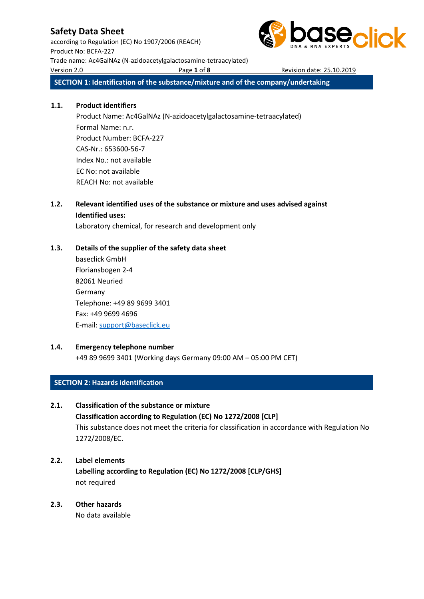according to Regulation (EC) No 1907/2006 (REACH) Product No: BCFA-227 Trade name: Ac4GalNAz (N-azidoacetylgalactosamine-tetraacylated) Version 2.0 Page **1** of **8** Revision date: 25.10.2019



**SECTION 1: Identification of the substance/mixture and of the company/undertaking**

### **1.1. Product identifiers**

Product Name: Ac4GalNAz (N-azidoacetylgalactosamine-tetraacylated) Formal Name: n.r. Product Number: BCFA-227 CAS-Nr.: 653600-56-7 Index No.: not available EC No: not available REACH No: not available

## **1.2. Relevant identified uses of the substance or mixture and uses advised against Identified uses:**

Laboratory chemical, for research and development only

## **1.3. Details of the supplier of the safety data sheet**

baseclick GmbH Floriansbogen 2-4 82061 Neuried Germany Telephone: +49 89 9699 3401 Fax: +49 9699 4696 E-mail[: support@baseclick.eu](mailto:support@baseclick.eu)

## **1.4. Emergency telephone number**

+49 89 9699 3401 (Working days Germany 09:00 AM – 05:00 PM CET)

## **SECTION 2: Hazards identification**

## **2.1. Classification of the substance or mixture**

**Classification according to Regulation (EC) No 1272/2008 [CLP]** This substance does not meet the criteria for classification in accordance with Regulation No 1272/2008/EC.

## **2.2. Label elements**

**Labelling according to Regulation (EC) No 1272/2008 [CLP/GHS]** not required

## **2.3. Other hazards**

No data available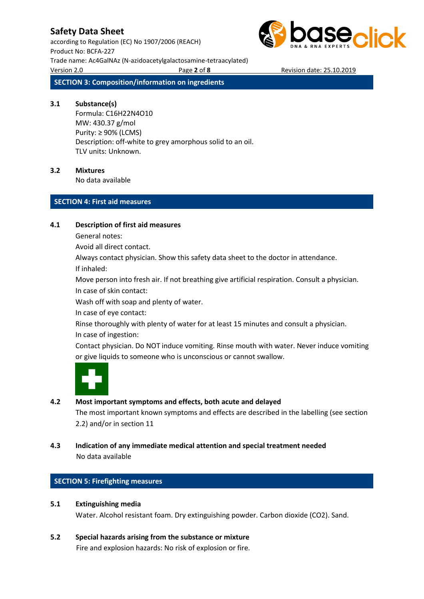according to Regulation (EC) No 1907/2006 (REACH) Product No: BCFA-227 Trade name: Ac4GalNAz (N-azidoacetylgalactosamine-tetraacylated) Version 2.0 Page **2** of **8** Revision date: 25.10.2019



**SECTION 3: Composition/information on ingredients**

#### **3.1 Substance(s)**

Formula: C16H22N4O10 MW: 430.37 g/mol Purity: ≥ 90% (LCMS) Description: off-white to grey amorphous solid to an oil. TLV units: Unknown.

#### **3.2 Mixtures**

No data available

#### **SECTION 4: First aid measures**

#### **4.1 Description of first aid measures**

General notes:

Avoid all direct contact.

Always contact physician. Show this safety data sheet to the doctor in attendance.

If inhaled:

Move person into fresh air. If not breathing give artificial respiration. Consult a physician. In case of skin contact:

Wash off with soap and plenty of water.

In case of eye contact:

Rinse thoroughly with plenty of water for at least 15 minutes and consult a physician. In case of ingestion:

Contact physician. Do NOT induce vomiting. Rinse mouth with water. Never induce vomiting or give liquids to someone who is unconscious or cannot swallow.



## **4.2 Most important symptoms and effects, both acute and delayed**

The most important known symptoms and effects are described in the labelling (see section 2.2) and/or in section 11

**4.3 Indication of any immediate medical attention and special treatment needed** No data available

### **SECTION 5: Firefighting measures**

#### **5.1 Extinguishing media**

Water. Alcohol resistant foam. Dry extinguishing powder. Carbon dioxide (CO2). Sand.

**5.2 Special hazards arising from the substance or mixture**

Fire and explosion hazards: No risk of explosion or fire.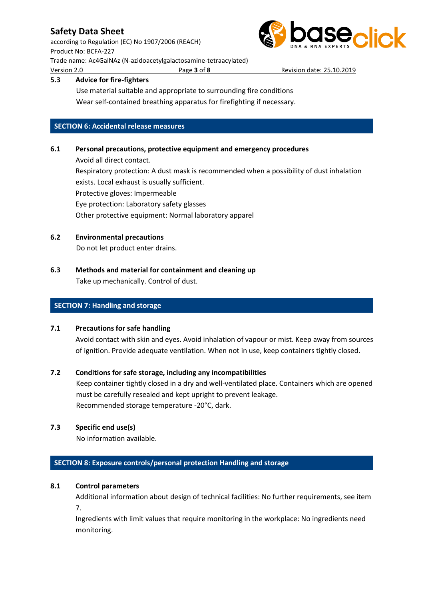according to Regulation (EC) No 1907/2006 (REACH) Product No: BCFA-227 Trade name: Ac4GalNAz (N-azidoacetylgalactosamine-tetraacylated) Version 2.0 Page **3** of **8** Revision date: 25.10.2019



### **5.3 Advice for fire-fighters**

Use material suitable and appropriate to surrounding fire conditions Wear self-contained breathing apparatus for firefighting if necessary.

### **SECTION 6: Accidental release measures**

### **6.1 Personal precautions, protective equipment and emergency procedures**

Avoid all direct contact. Respiratory protection: A dust mask is recommended when a possibility of dust inhalation exists. Local exhaust is usually sufficient. Protective gloves: Impermeable Eye protection: Laboratory safety glasses Other protective equipment: Normal laboratory apparel

**6.2 Environmental precautions**

Do not let product enter drains.

**6.3 Methods and material for containment and cleaning up** Take up mechanically. Control of dust.

### **SECTION 7: Handling and storage**

#### **7.1 Precautions for safe handling**

Avoid contact with skin and eyes. Avoid inhalation of vapour or mist. Keep away from sources of ignition. Provide adequate ventilation. When not in use, keep containers tightly closed.

### **7.2 Conditions for safe storage, including any incompatibilities**

Keep container tightly closed in a dry and well-ventilated place. Containers which are opened must be carefully resealed and kept upright to prevent leakage. Recommended storage temperature -20°C, dark.

### **7.3 Specific end use(s)**

No information available.

### **SECTION 8: Exposure controls/personal protection Handling and storage**

### **8.1 Control parameters**

Additional information about design of technical facilities: No further requirements, see item 7.

Ingredients with limit values that require monitoring in the workplace: No ingredients need monitoring.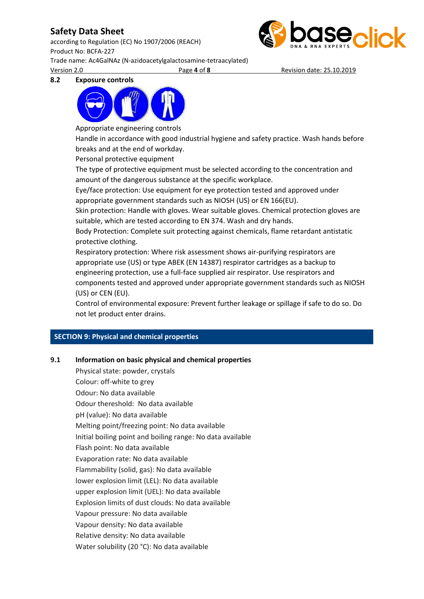according to Regulation (EC) No 1907/2006 (REACH) Product No: BCFA-227 Trade name: Ac4GalNAz (N-azidoacetylgalactosamine-tetraacylated) Version 2.0 Page **4** of **8** Revision date: 25.10.2019



#### **8.2 Exposure controls**



Appropriate engineering controls

Handle in accordance with good industrial hygiene and safety practice. Wash hands before breaks and at the end of workday.

Personal protective equipment

The type of protective equipment must be selected according to the concentration and amount of the dangerous substance at the specific workplace.

Eye/face protection: Use equipment for eye protection tested and approved under appropriate government standards such as NIOSH (US) or EN 166(EU).

Skin protection: Handle with gloves. Wear suitable gloves. Chemical protection gloves are suitable, which are tested according to EN 374. Wash and dry hands.

Body Protection: Complete suit protecting against chemicals, flame retardant antistatic protective clothing.

Respiratory protection: Where risk assessment shows air-purifying respirators are appropriate use (US) or type ABEK (EN 14387) respirator cartridges as a backup to engineering protection, use a full-face supplied air respirator. Use respirators and components tested and approved under appropriate government standards such as NIOSH (US) or CEN (EU).

Control of environmental exposure: Prevent further leakage or spillage if safe to do so. Do not let product enter drains.

### **SECTION 9: Physical and chemical properties**

### **9.1 Information on basic physical and chemical properties**

Physical state: powder, crystals Colour: off-white to grey Odour: No data available Odour thereshold: No data available pH (value): No data available Melting point/freezing point: No data available Initial boiling point and boiling range: No data available Flash point: No data available Evaporation rate: No data available Flammability (solid, gas): No data available lower explosion limit (LEL): No data available upper explosion limit (UEL): No data available Explosion limits of dust clouds: No data available Vapour pressure: No data available Vapour density: No data available Relative density: No data available Water solubility (20 °C): No data available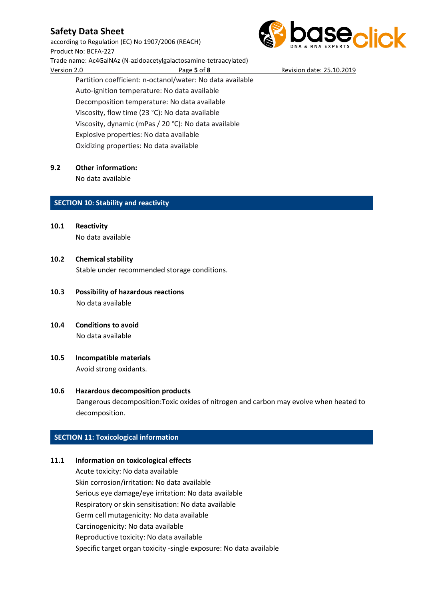according to Regulation (EC) No 1907/2006 (REACH) Product No: BCFA-227 Trade name: Ac4GalNAz (N-azidoacetylgalactosamine-tetraacylated) Version 2.0 Page **5** of **8** Revision date: 25.10.2019 Partition coefficient: n-octanol/water: No data available

**aseclick** 

Auto-ignition temperature: No data available Decomposition temperature: No data available Viscosity, flow time (23 °C): No data available Viscosity, dynamic (mPas / 20 °C): No data available Explosive properties: No data available Oxidizing properties: No data available

### **9.2 Other information:**

No data available

### **SECTION 10: Stability and reactivity**

- **10.1 Reactivity** No data available
- **10.2 Chemical stability** Stable under recommended storage conditions.
- **10.3 Possibility of hazardous reactions** No data available
- **10.4 Conditions to avoid** No data available
- **10.5 Incompatible materials** Avoid strong oxidants.

## **10.6 Hazardous decomposition products** Dangerous decomposition:Toxic oxides of nitrogen and carbon may evolve when heated to decomposition.

### **SECTION 11: Toxicological information**

### **11.1 Information on toxicological effects**

Acute toxicity: No data available Skin corrosion/irritation: No data available Serious eye damage/eye irritation: No data available Respiratory or skin sensitisation: No data available Germ cell mutagenicity: No data available Carcinogenicity: No data available Reproductive toxicity: No data available Specific target organ toxicity -single exposure: No data available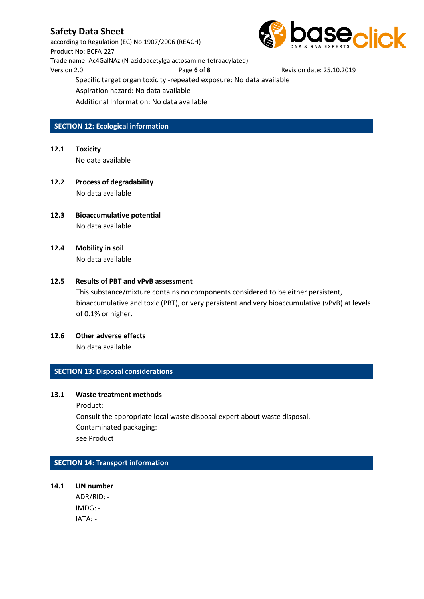according to Regulation (EC) No 1907/2006 (REACH) Product No: BCFA-227 Trade name: Ac4GalNAz (N-azidoacetylgalactosamine-tetraacylated) Version 2.0 Page **6** of **8** Revision date: 25.10.2019



Specific target organ toxicity -repeated exposure: No data available

Aspiration hazard: No data available

Additional Information: No data available

### **SECTION 12: Ecological information**

- **12.1 Toxicity** No data available
- **12.2 Process of degradability** No data available
- **12.3 Bioaccumulative potential** No data available
- **12.4 Mobility in soil** No data available

#### **12.5 Results of PBT and vPvB assessment**

This substance/mixture contains no components considered to be either persistent, bioaccumulative and toxic (PBT), or very persistent and very bioaccumulative (vPvB) at levels of 0.1% or higher.

**12.6 Other adverse effects** No data available

#### **SECTION 13: Disposal considerations**

#### **13.1 Waste treatment methods**

Product:

Consult the appropriate local waste disposal expert about waste disposal. Contaminated packaging: see Product

### **SECTION 14: Transport information**

**14.1 UN number** ADR/RID: - IMDG: - IATA: -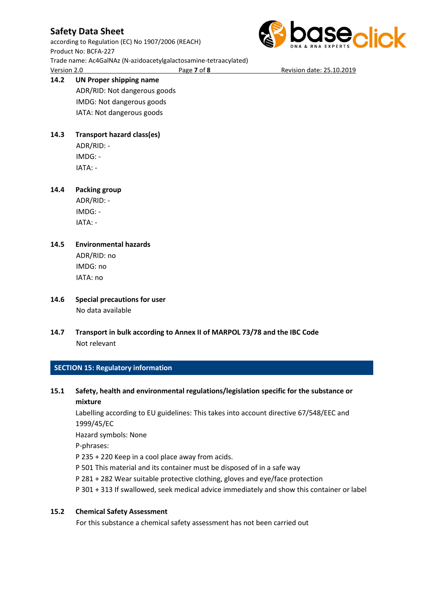according to Regulation (EC) No 1907/2006 (REACH) Product No: BCFA-227 Trade name: Ac4GalNAz (N-azidoacetylgalactosamine-tetraacylated) Version 2.0 Page **7** of **8** Revision date: 25.10.2019

# **14.2 UN Proper shipping name**

ADR/RID: Not dangerous goods IMDG: Not dangerous goods IATA: Not dangerous goods

# **14.3 Transport hazard class(es)**

ADR/RID: - IMDG: - IATA: -

### **14.4 Packing group**

ADR/RID: - IMDG: - IATA: -

### **14.5 Environmental hazards**

ADR/RID: no IMDG: no IATA: no

- **14.6 Special precautions for user** No data available
- **14.7 Transport in bulk according to Annex II of MARPOL 73/78 and the IBC Code** Not relevant

### **SECTION 15: Regulatory information**

**15.1 Safety, health and environmental regulations/legislation specific for the substance or mixture**

Labelling according to EU guidelines: This takes into account directive 67/548/EEC and 1999/45/EC

Hazard symbols: None

P-phrases:

P 235 + 220 Keep in a cool place away from acids.

- P 501 This material and its container must be disposed of in a safe way
- P 281 + 282 Wear suitable protective clothing, gloves and eye/face protection
- P 301 + 313 If swallowed, seek medical advice immediately and show this container or label

### **15.2 Chemical Safety Assessment**

For this substance a chemical safety assessment has not been carried out